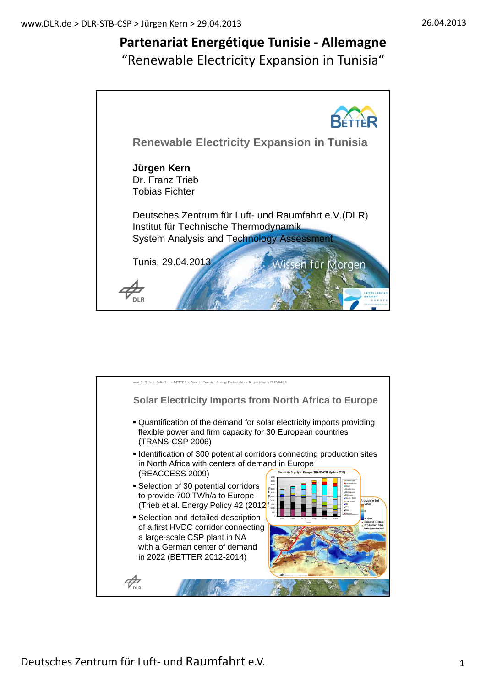# **Partenariat Energétique Tunisie ‐ Allemagne**

"Renewable Electricity Expansion in Tunisia"



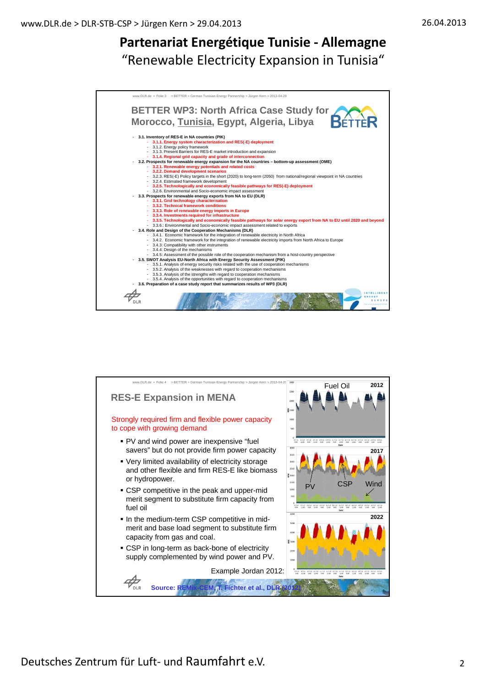

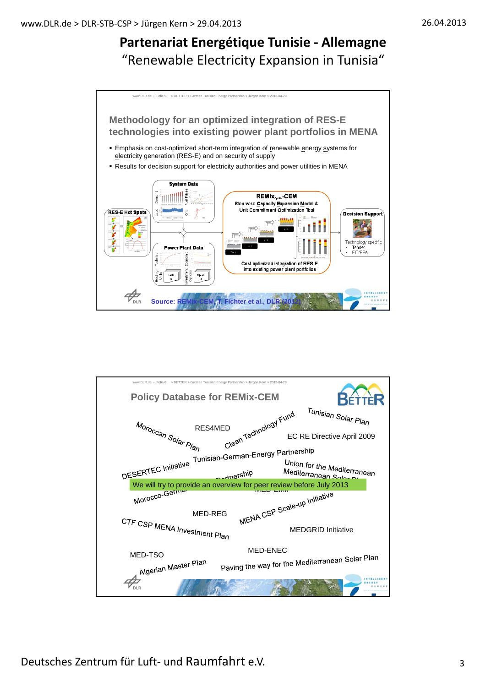

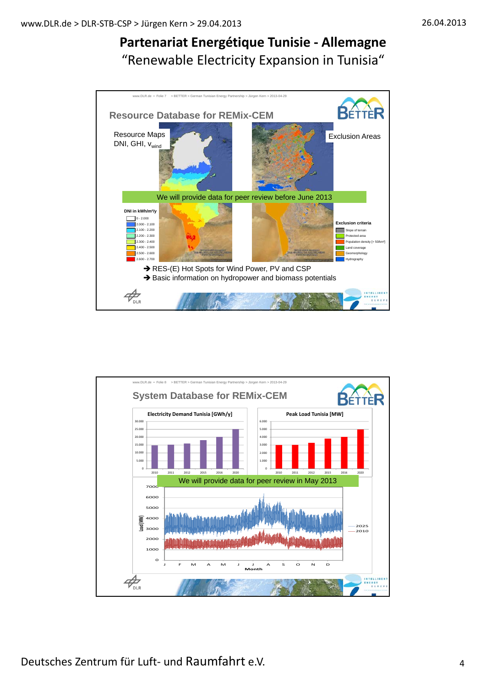

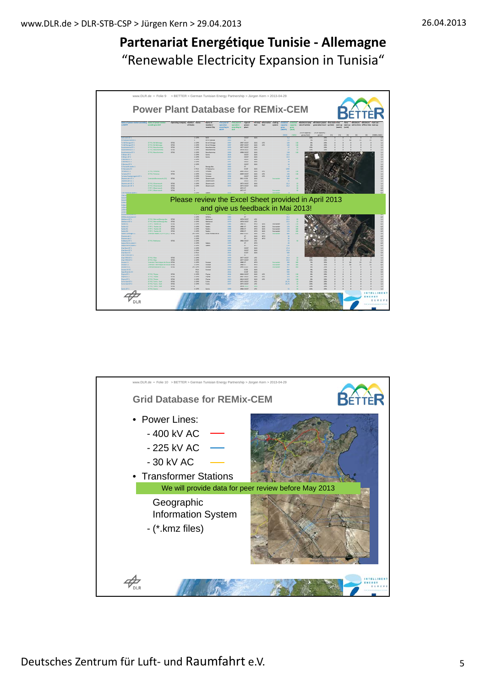